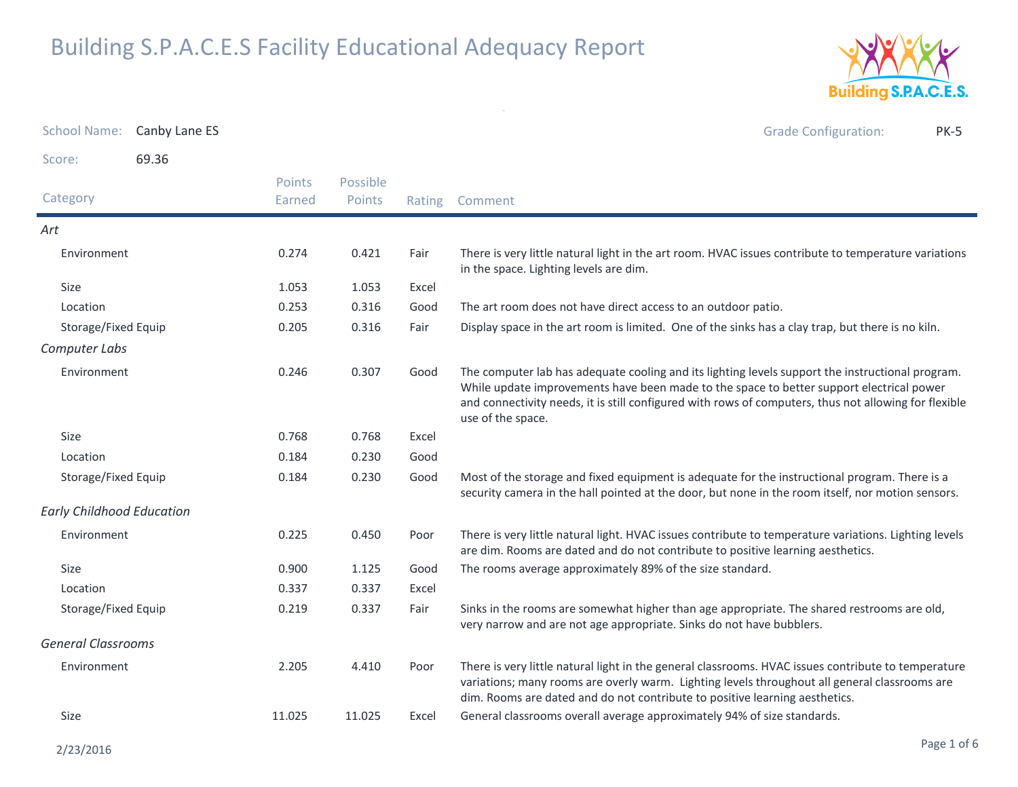

| School Name: Canby Lane ES       |       |                  |                    |       | <b>Grade Configuration:</b><br><b>PK-5</b>                                                                                                                                                                                                                                                                                 |
|----------------------------------|-------|------------------|--------------------|-------|----------------------------------------------------------------------------------------------------------------------------------------------------------------------------------------------------------------------------------------------------------------------------------------------------------------------------|
| Score:                           | 69.36 |                  |                    |       |                                                                                                                                                                                                                                                                                                                            |
| Category                         |       | Points<br>Earned | Possible<br>Points |       | Rating Comment                                                                                                                                                                                                                                                                                                             |
| Art                              |       |                  |                    |       |                                                                                                                                                                                                                                                                                                                            |
| Environment                      |       | 0.274            | 0.421              | Fair  | There is very little natural light in the art room. HVAC issues contribute to temperature variations<br>in the space. Lighting levels are dim.                                                                                                                                                                             |
| Size                             |       | 1.053            | 1.053              | Excel |                                                                                                                                                                                                                                                                                                                            |
| Location                         |       | 0.253            | 0.316              | Good  | The art room does not have direct access to an outdoor patio.                                                                                                                                                                                                                                                              |
| Storage/Fixed Equip              |       | 0.205            | 0.316              | Fair  | Display space in the art room is limited. One of the sinks has a clay trap, but there is no kiln.                                                                                                                                                                                                                          |
| Computer Labs                    |       |                  |                    |       |                                                                                                                                                                                                                                                                                                                            |
| Environment                      |       | 0.246            | 0.307              | Good  | The computer lab has adequate cooling and its lighting levels support the instructional program.<br>While update improvements have been made to the space to better support electrical power<br>and connectivity needs, it is still configured with rows of computers, thus not allowing for flexible<br>use of the space. |
| Size                             |       | 0.768            | 0.768              | Excel |                                                                                                                                                                                                                                                                                                                            |
| Location                         |       | 0.184            | 0.230              | Good  |                                                                                                                                                                                                                                                                                                                            |
| Storage/Fixed Equip              |       | 0.184            | 0.230              | Good  | Most of the storage and fixed equipment is adequate for the instructional program. There is a<br>security camera in the hall pointed at the door, but none in the room itself, nor motion sensors.                                                                                                                         |
| <b>Early Childhood Education</b> |       |                  |                    |       |                                                                                                                                                                                                                                                                                                                            |
| Environment                      |       | 0.225            | 0.450              | Poor  | There is very little natural light. HVAC issues contribute to temperature variations. Lighting levels<br>are dim. Rooms are dated and do not contribute to positive learning aesthetics.                                                                                                                                   |
| Size                             |       | 0.900            | 1.125              | Good  | The rooms average approximately 89% of the size standard.                                                                                                                                                                                                                                                                  |
| Location                         |       | 0.337            | 0.337              | Excel |                                                                                                                                                                                                                                                                                                                            |
| Storage/Fixed Equip              |       | 0.219            | 0.337              | Fair  | Sinks in the rooms are somewhat higher than age appropriate. The shared restrooms are old,<br>very narrow and are not age appropriate. Sinks do not have bubblers.                                                                                                                                                         |
| <b>General Classrooms</b>        |       |                  |                    |       |                                                                                                                                                                                                                                                                                                                            |
| Environment                      |       | 2.205            | 4.410              | Poor  | There is very little natural light in the general classrooms. HVAC issues contribute to temperature<br>variations; many rooms are overly warm. Lighting levels throughout all general classrooms are<br>dim. Rooms are dated and do not contribute to positive learning aesthetics.                                        |
| Size                             |       | 11.025           | 11.025             | Excel | General classrooms overall average approximately 94% of size standards.                                                                                                                                                                                                                                                    |

 $\sim$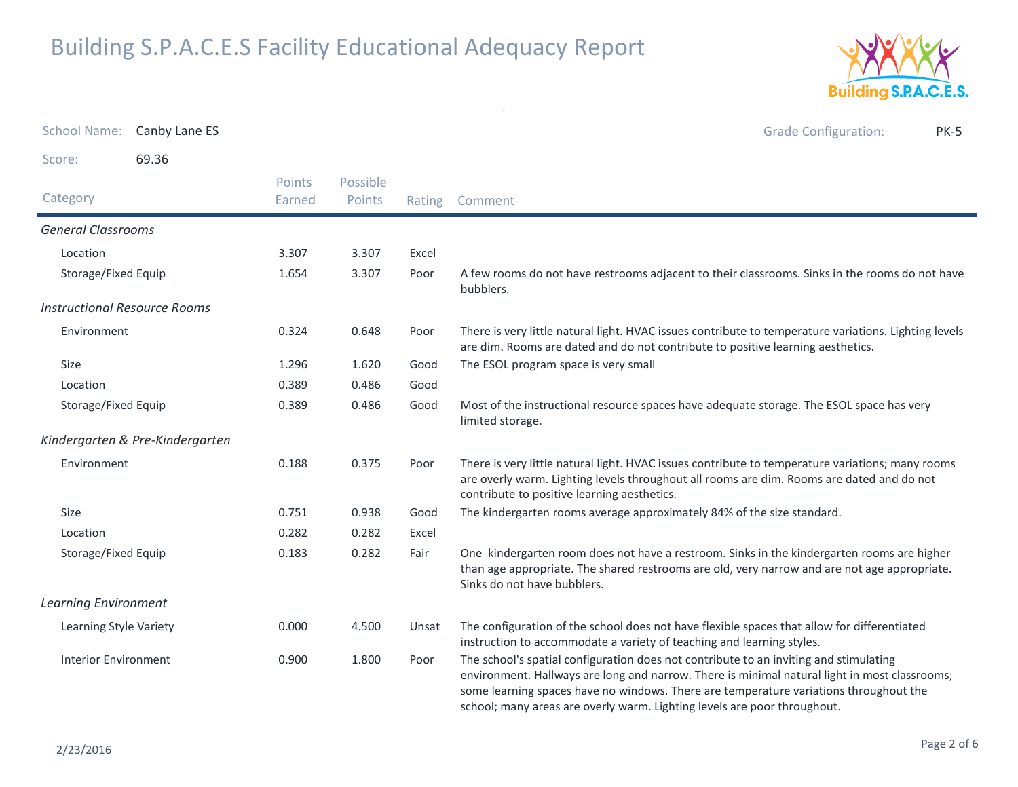

| <b>School Name:</b>                 | Canby Lane ES                   |                         |                    |        | <b>Grade Configuration:</b><br><b>PK-5</b>                                                                                                                                                                                                                                                                                                                  |
|-------------------------------------|---------------------------------|-------------------------|--------------------|--------|-------------------------------------------------------------------------------------------------------------------------------------------------------------------------------------------------------------------------------------------------------------------------------------------------------------------------------------------------------------|
| Score:                              | 69.36                           |                         |                    |        |                                                                                                                                                                                                                                                                                                                                                             |
| Category                            |                                 | <b>Points</b><br>Earned | Possible<br>Points | Rating | Comment                                                                                                                                                                                                                                                                                                                                                     |
| <b>General Classrooms</b>           |                                 |                         |                    |        |                                                                                                                                                                                                                                                                                                                                                             |
| Location                            |                                 | 3.307                   | 3.307              | Excel  |                                                                                                                                                                                                                                                                                                                                                             |
| Storage/Fixed Equip                 |                                 | 1.654                   | 3.307              | Poor   | A few rooms do not have restrooms adjacent to their classrooms. Sinks in the rooms do not have<br>bubblers.                                                                                                                                                                                                                                                 |
| <b>Instructional Resource Rooms</b> |                                 |                         |                    |        |                                                                                                                                                                                                                                                                                                                                                             |
| Environment                         |                                 | 0.324                   | 0.648              | Poor   | There is very little natural light. HVAC issues contribute to temperature variations. Lighting levels<br>are dim. Rooms are dated and do not contribute to positive learning aesthetics.                                                                                                                                                                    |
| Size                                |                                 | 1.296                   | 1.620              | Good   | The ESOL program space is very small                                                                                                                                                                                                                                                                                                                        |
| Location                            |                                 | 0.389                   | 0.486              | Good   |                                                                                                                                                                                                                                                                                                                                                             |
| Storage/Fixed Equip                 |                                 | 0.389                   | 0.486              | Good   | Most of the instructional resource spaces have adequate storage. The ESOL space has very<br>limited storage.                                                                                                                                                                                                                                                |
|                                     | Kindergarten & Pre-Kindergarten |                         |                    |        |                                                                                                                                                                                                                                                                                                                                                             |
| Environment                         |                                 | 0.188                   | 0.375              | Poor   | There is very little natural light. HVAC issues contribute to temperature variations; many rooms<br>are overly warm. Lighting levels throughout all rooms are dim. Rooms are dated and do not<br>contribute to positive learning aesthetics.                                                                                                                |
| Size                                |                                 | 0.751                   | 0.938              | Good   | The kindergarten rooms average approximately 84% of the size standard.                                                                                                                                                                                                                                                                                      |
| Location                            |                                 | 0.282                   | 0.282              | Excel  |                                                                                                                                                                                                                                                                                                                                                             |
| Storage/Fixed Equip                 |                                 | 0.183                   | 0.282              | Fair   | One kindergarten room does not have a restroom. Sinks in the kindergarten rooms are higher<br>than age appropriate. The shared restrooms are old, very narrow and are not age appropriate.<br>Sinks do not have bubblers.                                                                                                                                   |
| <b>Learning Environment</b>         |                                 |                         |                    |        |                                                                                                                                                                                                                                                                                                                                                             |
| Learning Style Variety              |                                 | 0.000                   | 4.500              | Unsat  | The configuration of the school does not have flexible spaces that allow for differentiated<br>instruction to accommodate a variety of teaching and learning styles.                                                                                                                                                                                        |
| <b>Interior Environment</b>         |                                 | 0.900                   | 1.800              | Poor   | The school's spatial configuration does not contribute to an inviting and stimulating<br>environment. Hallways are long and narrow. There is minimal natural light in most classrooms;<br>some learning spaces have no windows. There are temperature variations throughout the<br>school; many areas are overly warm. Lighting levels are poor throughout. |

 $\sim$   $\sigma$   $^{-1}$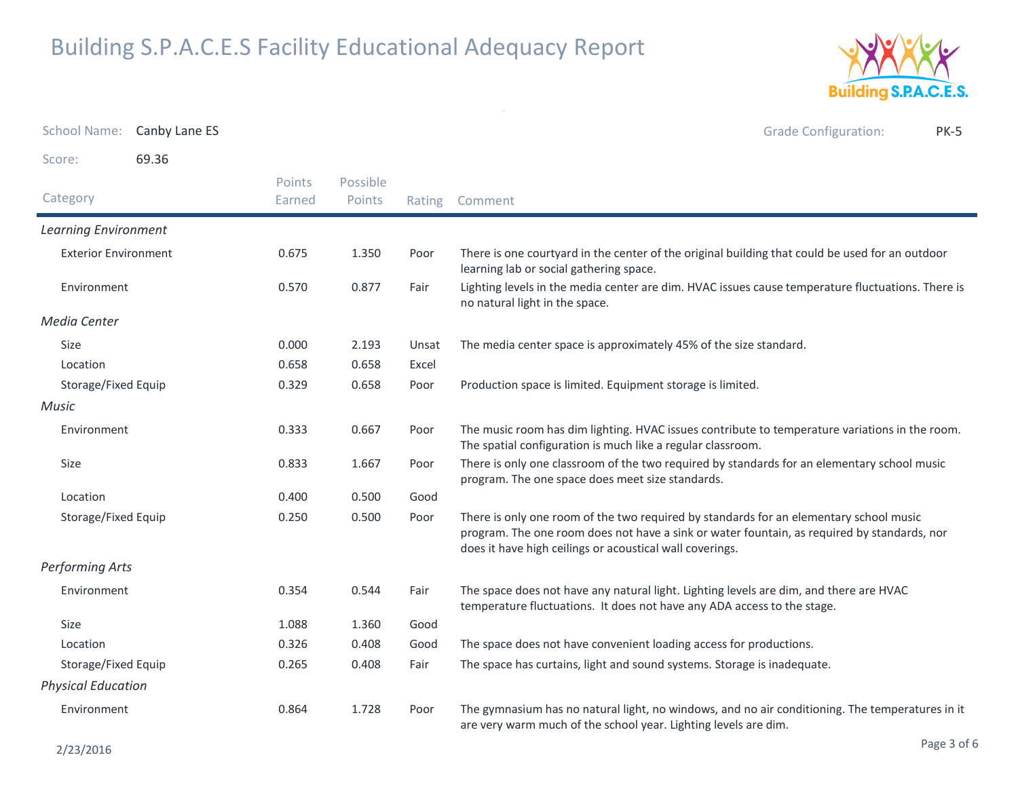

|                             | School Name: Canby Lane ES |                         |                    |        | <b>Grade Configuration:</b><br><b>PK-5</b>                                                                                                                                                                                                        |
|-----------------------------|----------------------------|-------------------------|--------------------|--------|---------------------------------------------------------------------------------------------------------------------------------------------------------------------------------------------------------------------------------------------------|
| Score:                      | 69.36                      |                         |                    |        |                                                                                                                                                                                                                                                   |
| Category                    |                            | <b>Points</b><br>Earned | Possible<br>Points | Rating | Comment                                                                                                                                                                                                                                           |
| <b>Learning Environment</b> |                            |                         |                    |        |                                                                                                                                                                                                                                                   |
| <b>Exterior Environment</b> |                            | 0.675                   | 1.350              | Poor   | There is one courtyard in the center of the original building that could be used for an outdoor<br>learning lab or social gathering space.                                                                                                        |
| Environment                 |                            | 0.570                   | 0.877              | Fair   | Lighting levels in the media center are dim. HVAC issues cause temperature fluctuations. There is<br>no natural light in the space.                                                                                                               |
| Media Center                |                            |                         |                    |        |                                                                                                                                                                                                                                                   |
| <b>Size</b>                 |                            | 0.000                   | 2.193              | Unsat  | The media center space is approximately 45% of the size standard.                                                                                                                                                                                 |
| Location                    |                            | 0.658                   | 0.658              | Excel  |                                                                                                                                                                                                                                                   |
| Storage/Fixed Equip         |                            | 0.329                   | 0.658              | Poor   | Production space is limited. Equipment storage is limited.                                                                                                                                                                                        |
| <b>Music</b>                |                            |                         |                    |        |                                                                                                                                                                                                                                                   |
| Environment                 |                            | 0.333                   | 0.667              | Poor   | The music room has dim lighting. HVAC issues contribute to temperature variations in the room.<br>The spatial configuration is much like a regular classroom.                                                                                     |
| Size                        |                            | 0.833                   | 1.667              | Poor   | There is only one classroom of the two required by standards for an elementary school music<br>program. The one space does meet size standards.                                                                                                   |
| Location                    |                            | 0.400                   | 0.500              | Good   |                                                                                                                                                                                                                                                   |
| Storage/Fixed Equip         |                            | 0.250                   | 0.500              | Poor   | There is only one room of the two required by standards for an elementary school music<br>program. The one room does not have a sink or water fountain, as required by standards, nor<br>does it have high ceilings or acoustical wall coverings. |
| Performing Arts             |                            |                         |                    |        |                                                                                                                                                                                                                                                   |
| Environment                 |                            | 0.354                   | 0.544              | Fair   | The space does not have any natural light. Lighting levels are dim, and there are HVAC<br>temperature fluctuations. It does not have any ADA access to the stage.                                                                                 |
| <b>Size</b>                 |                            | 1.088                   | 1.360              | Good   |                                                                                                                                                                                                                                                   |
| Location                    |                            | 0.326                   | 0.408              | Good   | The space does not have convenient loading access for productions.                                                                                                                                                                                |
| Storage/Fixed Equip         |                            | 0.265                   | 0.408              | Fair   | The space has curtains, light and sound systems. Storage is inadequate.                                                                                                                                                                           |
| <b>Physical Education</b>   |                            |                         |                    |        |                                                                                                                                                                                                                                                   |
| Environment                 |                            | 0.864                   | 1.728              | Poor   | The gymnasium has no natural light, no windows, and no air conditioning. The temperatures in it<br>are very warm much of the school year. Lighting levels are dim.                                                                                |

 $\mathcal{A}(\mathcal{A})$  and  $\mathcal{A}(\mathcal{A})$  .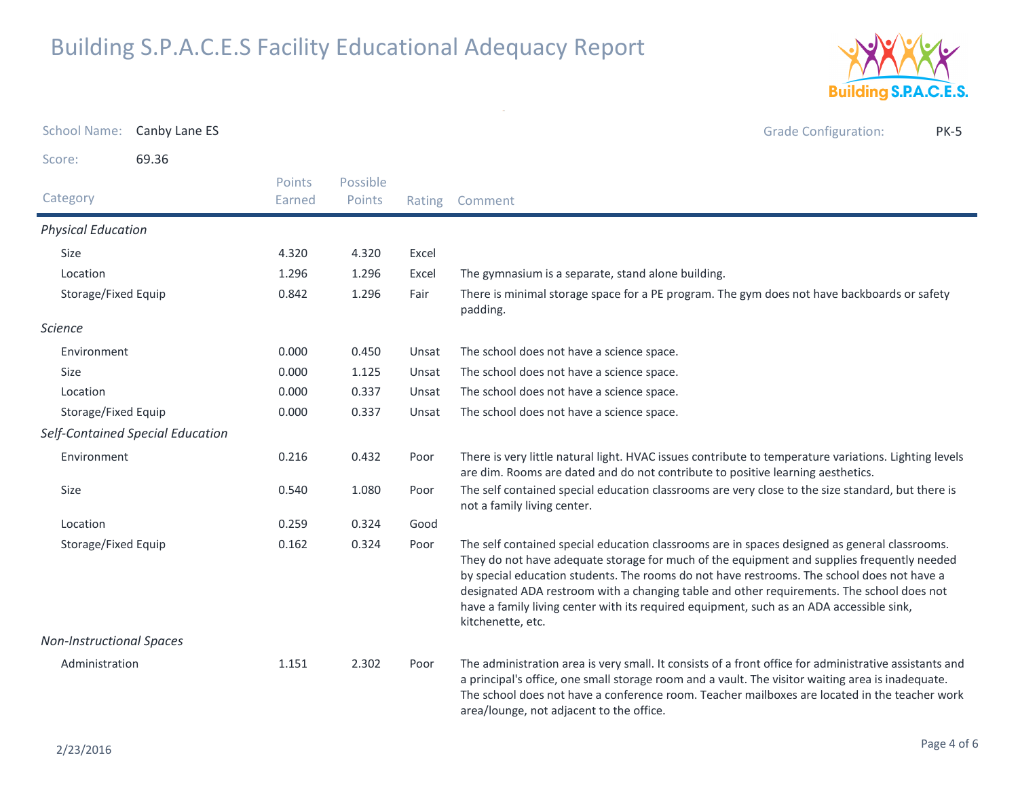

| <b>School Name:</b>             | Canby Lane ES                    |                  |                    |        | <b>Grade Configuration:</b><br><b>PK-5</b>                                                                                                                                                                                                                                                                                                                                                                                                                                                              |
|---------------------------------|----------------------------------|------------------|--------------------|--------|---------------------------------------------------------------------------------------------------------------------------------------------------------------------------------------------------------------------------------------------------------------------------------------------------------------------------------------------------------------------------------------------------------------------------------------------------------------------------------------------------------|
| Score:                          | 69.36                            |                  |                    |        |                                                                                                                                                                                                                                                                                                                                                                                                                                                                                                         |
| Category                        |                                  | Points<br>Earned | Possible<br>Points | Rating | Comment                                                                                                                                                                                                                                                                                                                                                                                                                                                                                                 |
| <b>Physical Education</b>       |                                  |                  |                    |        |                                                                                                                                                                                                                                                                                                                                                                                                                                                                                                         |
| Size                            |                                  | 4.320            | 4.320              | Excel  |                                                                                                                                                                                                                                                                                                                                                                                                                                                                                                         |
| Location                        |                                  | 1.296            | 1.296              | Excel  | The gymnasium is a separate, stand alone building.                                                                                                                                                                                                                                                                                                                                                                                                                                                      |
| Storage/Fixed Equip             |                                  | 0.842            | 1.296              | Fair   | There is minimal storage space for a PE program. The gym does not have backboards or safety<br>padding.                                                                                                                                                                                                                                                                                                                                                                                                 |
| <b>Science</b>                  |                                  |                  |                    |        |                                                                                                                                                                                                                                                                                                                                                                                                                                                                                                         |
| Environment                     |                                  | 0.000            | 0.450              | Unsat  | The school does not have a science space.                                                                                                                                                                                                                                                                                                                                                                                                                                                               |
| Size                            |                                  | 0.000            | 1.125              | Unsat  | The school does not have a science space.                                                                                                                                                                                                                                                                                                                                                                                                                                                               |
| Location                        |                                  | 0.000            | 0.337              | Unsat  | The school does not have a science space.                                                                                                                                                                                                                                                                                                                                                                                                                                                               |
| Storage/Fixed Equip             |                                  | 0.000            | 0.337              | Unsat  | The school does not have a science space.                                                                                                                                                                                                                                                                                                                                                                                                                                                               |
|                                 | Self-Contained Special Education |                  |                    |        |                                                                                                                                                                                                                                                                                                                                                                                                                                                                                                         |
| Environment                     |                                  | 0.216            | 0.432              | Poor   | There is very little natural light. HVAC issues contribute to temperature variations. Lighting levels<br>are dim. Rooms are dated and do not contribute to positive learning aesthetics.                                                                                                                                                                                                                                                                                                                |
| Size                            |                                  | 0.540            | 1.080              | Poor   | The self contained special education classrooms are very close to the size standard, but there is<br>not a family living center.                                                                                                                                                                                                                                                                                                                                                                        |
| Location                        |                                  | 0.259            | 0.324              | Good   |                                                                                                                                                                                                                                                                                                                                                                                                                                                                                                         |
| Storage/Fixed Equip             |                                  | 0.162            | 0.324              | Poor   | The self contained special education classrooms are in spaces designed as general classrooms.<br>They do not have adequate storage for much of the equipment and supplies frequently needed<br>by special education students. The rooms do not have restrooms. The school does not have a<br>designated ADA restroom with a changing table and other requirements. The school does not<br>have a family living center with its required equipment, such as an ADA accessible sink,<br>kitchenette, etc. |
| <b>Non-Instructional Spaces</b> |                                  |                  |                    |        |                                                                                                                                                                                                                                                                                                                                                                                                                                                                                                         |
| Administration                  |                                  | 1.151            | 2.302              | Poor   | The administration area is very small. It consists of a front office for administrative assistants and<br>a principal's office, one small storage room and a vault. The visitor waiting area is inadequate.<br>The school does not have a conference room. Teacher mailboxes are located in the teacher work<br>area/lounge, not adjacent to the office.                                                                                                                                                |

 $\sim$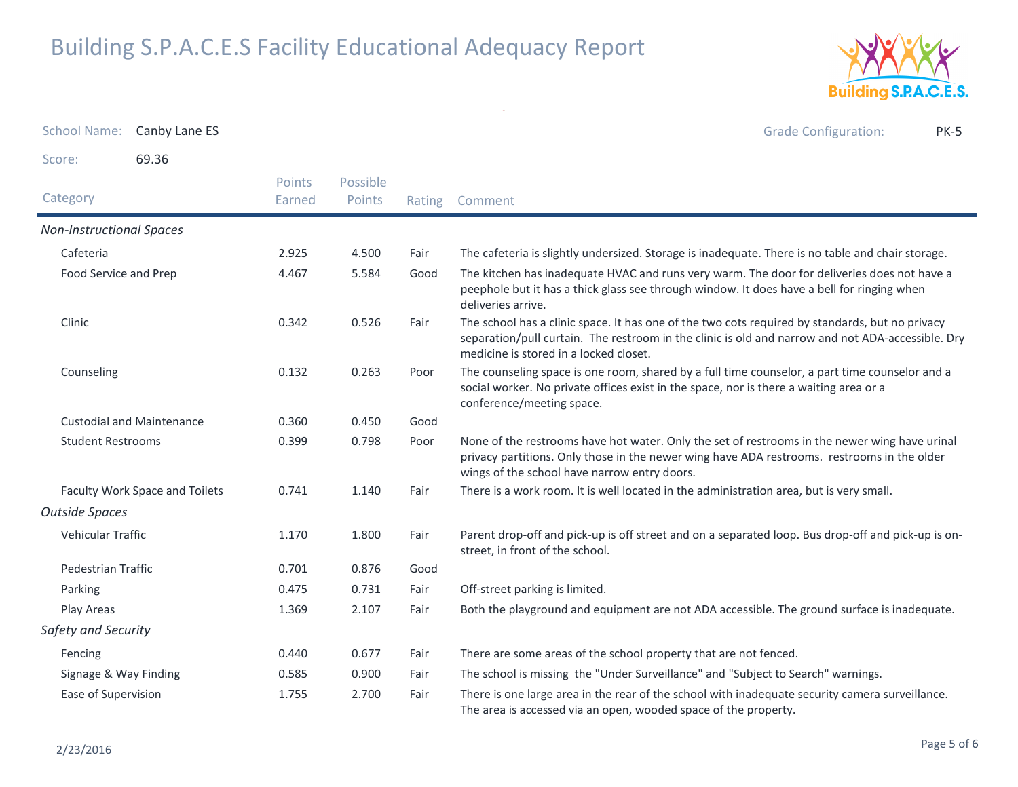

Grade Configuration: PK-5

School Name: Canby Lane ES

Score:69.36

| Category                         | Points<br>Earned | Possible<br>Points | Rating | Comment                                                                                                                                                                                                                                        |
|----------------------------------|------------------|--------------------|--------|------------------------------------------------------------------------------------------------------------------------------------------------------------------------------------------------------------------------------------------------|
| <b>Non-Instructional Spaces</b>  |                  |                    |        |                                                                                                                                                                                                                                                |
| Cafeteria                        | 2.925            | 4.500              | Fair   | The cafeteria is slightly undersized. Storage is inadequate. There is no table and chair storage.                                                                                                                                              |
| Food Service and Prep            | 4.467            | 5.584              | Good   | The kitchen has inadequate HVAC and runs very warm. The door for deliveries does not have a<br>peephole but it has a thick glass see through window. It does have a bell for ringing when<br>deliveries arrive.                                |
| Clinic                           | 0.342            | 0.526              | Fair   | The school has a clinic space. It has one of the two cots required by standards, but no privacy<br>separation/pull curtain. The restroom in the clinic is old and narrow and not ADA-accessible. Dry<br>medicine is stored in a locked closet. |
| Counseling                       | 0.132            | 0.263              | Poor   | The counseling space is one room, shared by a full time counselor, a part time counselor and a<br>social worker. No private offices exist in the space, nor is there a waiting area or a<br>conference/meeting space.                          |
| <b>Custodial and Maintenance</b> | 0.360            | 0.450              | Good   |                                                                                                                                                                                                                                                |
| <b>Student Restrooms</b>         | 0.399            | 0.798              | Poor   | None of the restrooms have hot water. Only the set of restrooms in the newer wing have urinal<br>privacy partitions. Only those in the newer wing have ADA restrooms. restrooms in the older<br>wings of the school have narrow entry doors.   |
| Faculty Work Space and Toilets   | 0.741            | 1.140              | Fair   | There is a work room. It is well located in the administration area, but is very small.                                                                                                                                                        |
| <b>Outside Spaces</b>            |                  |                    |        |                                                                                                                                                                                                                                                |
| <b>Vehicular Traffic</b>         | 1.170            | 1.800              | Fair   | Parent drop-off and pick-up is off street and on a separated loop. Bus drop-off and pick-up is on-<br>street, in front of the school.                                                                                                          |
| Pedestrian Traffic               | 0.701            | 0.876              | Good   |                                                                                                                                                                                                                                                |
| Parking                          | 0.475            | 0.731              | Fair   | Off-street parking is limited.                                                                                                                                                                                                                 |
| Play Areas                       | 1.369            | 2.107              | Fair   | Both the playground and equipment are not ADA accessible. The ground surface is inadequate.                                                                                                                                                    |
| Safety and Security              |                  |                    |        |                                                                                                                                                                                                                                                |
| Fencing                          | 0.440            | 0.677              | Fair   | There are some areas of the school property that are not fenced.                                                                                                                                                                               |
| Signage & Way Finding            | 0.585            | 0.900              | Fair   | The school is missing the "Under Surveillance" and "Subject to Search" warnings.                                                                                                                                                               |
| Ease of Supervision              | 1.755            | 2.700              | Fair   | There is one large area in the rear of the school with inadequate security camera surveillance.<br>The area is accessed via an open, wooded space of the property.                                                                             |